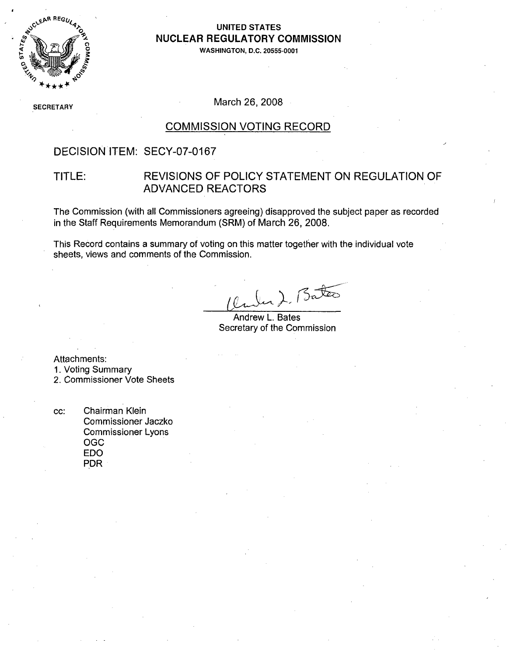

# NUCLEAR REGULATORY COMMISSION

**0• WASHINGTON, D.C. 20555-0001**

**SECRETARY** 

March 26, 2008

#### COMMISSION VOTING RECORD

#### DECISION ITEM: SECY-07-0167

#### TITLE: REVISIONS OF POLICY STATEMENT ON REGULATION OF ADVANCED REACTORS

The Commission (with all Commissioners agreeing) disapproved the subject paper as recorded in the Staff Requirements Memorandum (SRM) of March 26, 2008.

This Record contains a summary of voting on this matter together with the individual vote sheets, views and comments of the Commission.

Bater

Andrew L. Bates Secretary of the Commission

Attachments:

1. Voting Summary

2. Commissioner Vote Sheets

cc: Chairman Klein Commissioner Jaczko Commissioner Lyons OGC EDO PDR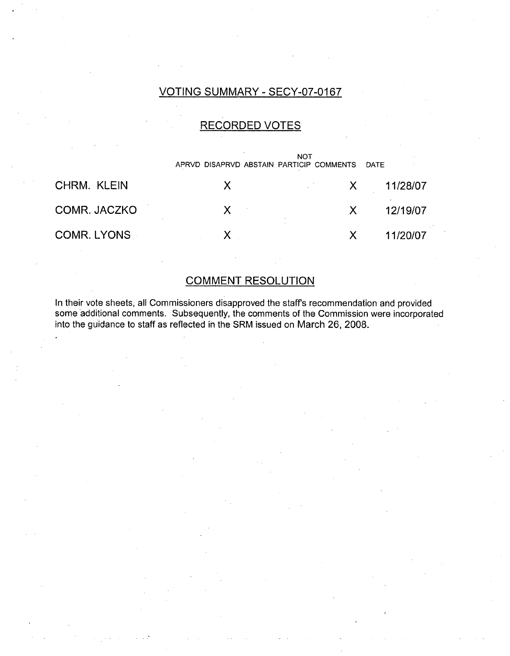### VOTING SUMMARY - SECY-07-0167

### RECORDED VOTES

NOT APRVD DISAPRVD ABSTAIN PARTICIP COMMENTS DATE

| CHRM. KLEIN        |  | 11/28/07 |
|--------------------|--|----------|
| COMR. JACZKO       |  | 12/19/07 |
| <b>COMR. LYONS</b> |  | 11/20/07 |

### COMMENT RESOLUTION

In their vote sheets, all Commissioners disapproved the staffs recommendation and provided some additional comments. Subsequently, the comments of the Commission were incorporated into the guidance to staff as reflected in the SRM issued on March 26, 2008.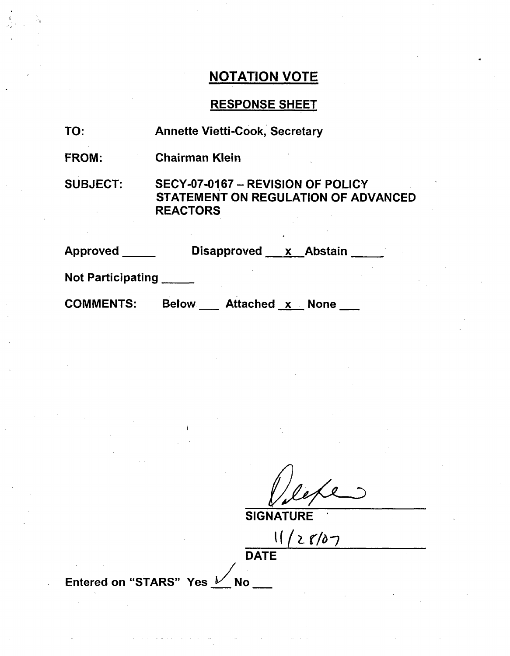### NOTATION VOTE

### RESPONSE SHEET

| TO:                      | <b>Annette Vietti-Cook, Secretary</b>                                                       |
|--------------------------|---------------------------------------------------------------------------------------------|
| FROM:                    | <b>Chairman Klein</b>                                                                       |
| <b>SUBJECT:</b>          | SECY-07-0167 - REVISION OF POLICY<br>STATEMENT ON REGULATION OF ADVANCED<br><b>REACTORS</b> |
| <b>Approved</b>          | Disapproved x Abstain                                                                       |
| <b>Not Participating</b> |                                                                                             |

**COMMENTS:** 

Below \_\_\_ Attached x None \_\_

**SIGNATURE** 

**-** ((Žý. IN-)

DATE

Entered on "STARS" Yes **V** No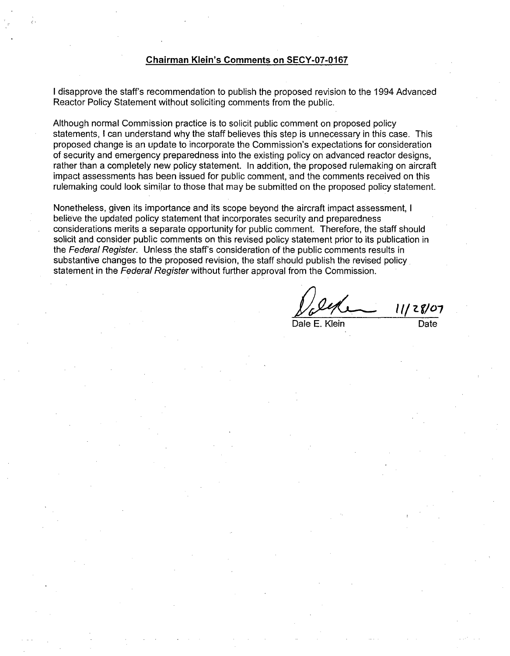#### Chairman Klein's Comments on **SECY-07-0167**

I disapprove the staff's recommendation to publish the proposed revision to the 1994 Advanced Reactor Policy Statement without soliciting comments from the public.

Although normal Commission practice is.to solicit public comment on proposed policy statements, I can understand why the staff believes this step is unnecessary in this case. This proposed change is an update to incorporate the Commission's expectations for consideration of security and emergency preparedness into the existing policy on advanced reactor designs, rather than a completely new policy statement. In addition, the proposed rulemaking on aircraft impact assessments has been issued for public comment, and the comments received on this rulemaking could look similar to those that may be submitted on the proposed policy statement.

Nonetheless, given its importance and its scope beyond the aircraft impact assessment, I believe the updated policy statement that incorporates security and preparedness considerations merits a separate opportunity for public comment. Therefore, the staff should solicit and consider public comments on this revised policy statement prior to its publication in the *Federal Register.* Unless the staff's consideration of the public comments results in substantive changes to the proposed revision, the staff should publish the revised policy statement in the *Federal Register* without further approval from the Commission.

11/28/07 Dale E. Klein Date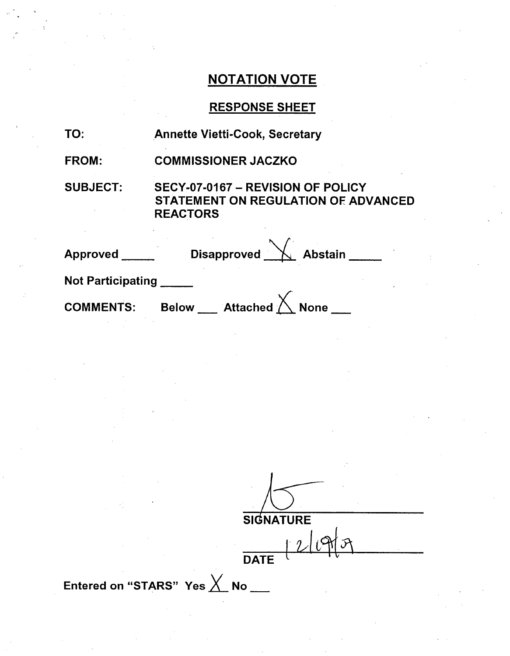# NOTATION VOTE

### RESPONSE SHEET

| TO:                      | <b>Annette Vietti-Cook, Secretary</b>                                                              |
|--------------------------|----------------------------------------------------------------------------------------------------|
| <b>FROM:</b>             | <b>COMMISSIONER JACZKO</b>                                                                         |
| <b>SUBJECT:</b>          | SECY-07-0167 - REVISION OF POLICY<br><b>STATEMENT ON REGULATION OF ADVANCED</b><br><b>REACTORS</b> |
| <b>Approved</b>          | Disapproved $\sqrt{}$ Abstain _____                                                                |
| <b>Not Participating</b> |                                                                                                    |
| <b>COMMENTS:</b>         | __ Attached $\bigwedge$ None<br><b>Below</b>                                                       |

**SIGNATURE**  $DATE$   $21977$ 

Entered on "STARS" Yes X No \_\_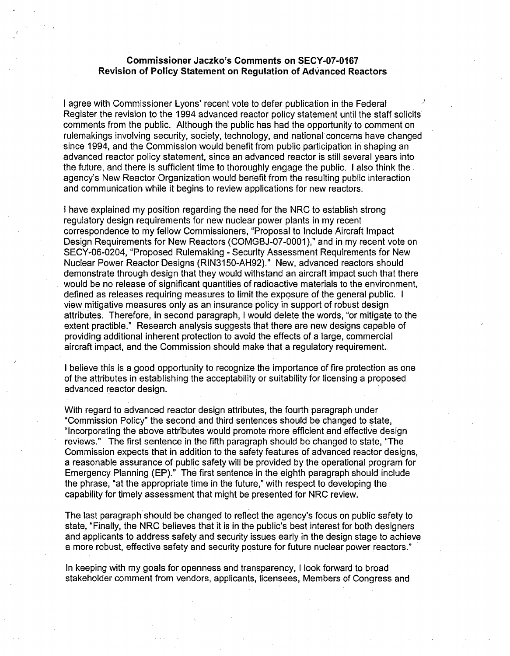#### Commissioner Jaczko's Comments on **SECY-07-0167** Revision of Policy Statement on Regulation of Advanced Reactors

I agree with Commissioner Lyons' recent vote to defer publication in the Federal Register the revision to the 1994 advanced reactor policy statement until the staff solicits comments from the public. Although the public has had the opportunity to comment on rulemakings involving security, society, technology, and national concerns have changed since 1994, and the Commission would benefit from public participation in shaping an advanced reactor policy statement, since an advanced reactor is still several years into the future, and there is sufficient time to thoroughly engage the public. I also think the agency's New Reactor Organization would benefit from the resulting public interaction and communication while it begins to review applications for new reactors.

I have explained my position regarding the need for the NRC to establish strong regulatory design requirements for new nuclear power plants in my recent correspondence to my fellow Commissioners, "Proposal to Include Aircraft Impact Design Requirements for New Reactors (COMGBJ-07-0001)," and in my recent vote on SECY-06-0204, "Proposed Rulemaking - Security Assessment Requirements for New Nuclear Power Reactor Designs (RIN3150-AH92)." New, advanced reactors should demonstrate through design that they would withstand an aircraft impact such that there would be no release of significant quantities of radioactive materials to the environment, defined as releases requiring measures to limit the exposure of the general public. I view mitigative measures only as an insurance policy in support of robust design attributes. Therefore, in second paragraph, I would delete the words, "or mitigate to the extent practible." Research analysis suggests that there are new designs capable of providing additional inherent protection to avoid the effects of a large, commercial aircraft impact, and the Commission should make that a regulatory requirement.

I believe this is a good opportunity to recognize the importance of fire protection as one of the attributes in establishing the acceptability or suitability for licensing a proposed advanced reactor design.

With regard to advanced reactor design attributes, the fourth paragraph under "Commission Policy" the second and third sentences should be changed to state, "Incorporating the above attributes would promote more efficient and effective design reviews." The first sentence in the fifth paragraph should be changed to state, "The Commission expects that in addition to the safety features of advanced reactor designs, a reasonable assurance of public safety will be provided by the operational program for Emergency Planning (EP)." The first sentence in the eighth paragraph should include the phrase, "at the appropriate time in the future," with respect to developing the capability for timely assessment that might be presented for NRC review.

The last paragraph should be changed to reflect the agency's focus on public safety to state, "Finally, the NRC believes that it is in the public's best interest for both designers and applicants to address safety and security issues early in the design stage to achieve a more robust, effective safety and security posture for future nuclear power reactors."

In keeping with my goals for openness and transparency, I look forward to broad stakeholder comment from vendors, applicants, licensees, Members of Congress and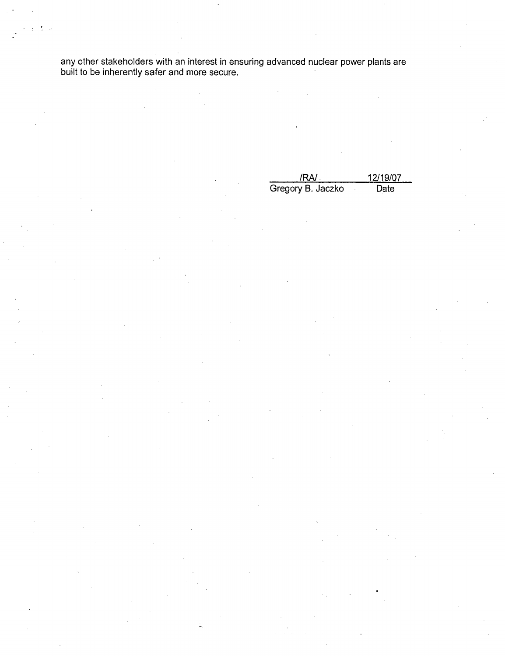any other stakeholders with an interest in ensuring advanced nuclear power plants are built to be inherently safer and more secure.

| /RA/.             | 12/19/07 |
|-------------------|----------|
| Gregory B. Jaczko | Date     |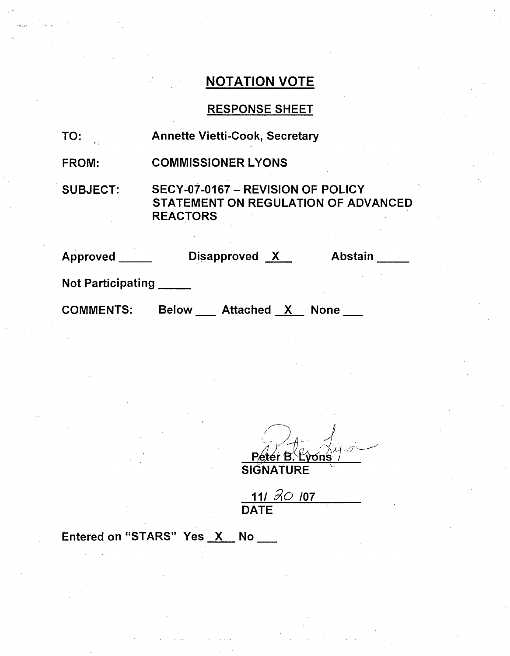# NOTATION VOTE

# RESPONSE SHEET

| TO:                      | <b>Annette Vietti-Cook, Secretary</b>                                                              |  |  |
|--------------------------|----------------------------------------------------------------------------------------------------|--|--|
| FROM:                    | <b>COMMISSIONER LYONS</b>                                                                          |  |  |
| <b>SUBJECT:</b>          | SECY-07-0167 - REVISION OF POLICY<br><b>STATEMENT ON REGULATION OF ADVANCED</b><br><b>REACTORS</b> |  |  |
| <b>Approved</b>          | Disapproved X<br><b>Abstain</b>                                                                    |  |  |
| <b>Not Participating</b> |                                                                                                    |  |  |
| <b>COMMENTS:</b>         | <b>Below</b><br><b>Attached</b><br><b>None</b><br>X                                                |  |  |

Peter B. Lyons

 $111.30.07$ DATE

Entered on "STARS" Yes X No